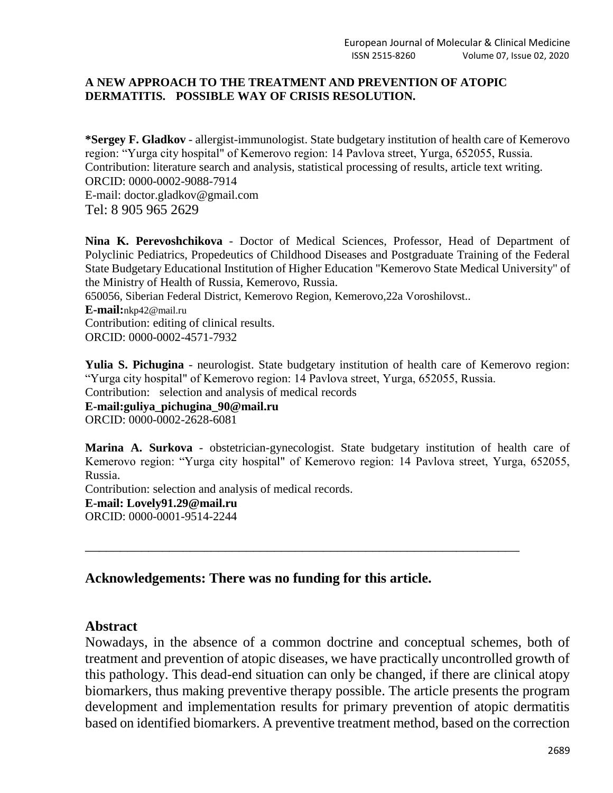#### **A NEW APPROACH TO THE TREATMENT AND PREVENTION OF ATOPIC DERMATITIS. POSSIBLE WAY OF CRISIS RESOLUTION.**

**\*Sergey F. Gladkov** - allergist-immunologist. State budgetary institution of health care of Kemerovo region: "Yurga city hospital" of Kemerovo region: 14 Pavlova street, Yurga, 652055, Russia. Contribution: literature search and analysis, statistical processing of results, article text writing. ORCID: 0000-0002-9088-7914

E-mail: doctor.gladkov@gmail.com Tel: 8 905 965 2629

**Nina K. Perevoshchikova** - Doctor of Medical Sciences, Professor, Head of Department of Polyclinic Pediatrics, Propedeutics of Childhood Diseases and Postgraduate Training of the Federal State Budgetary Educational Institution of Higher Education "Kemerovo State Medical University" of the Ministry of Health of Russia, Kemerovo, Russia.

650056, Siberian Federal District, Kemerovo Region, Kemerovo,22a Voroshilovst..

**E-mail:**[nkp42@mail.ru](mailto:nkp42@mail.ru) Contribution: editing of clinical results. ORCID: 0000-0002-4571-7932

**Yulia S. Pichugina** - neurologist. State budgetary institution of health care of Kemerovo region: "Yurga city hospital" of Kemerovo region: 14 Pavlova street, Yurga, 652055, Russia.

Contribution: selection and analysis of medical records

**E-mail:guliya\_pichugina\_90@mail.ru**

ORCID: 0000-0002-2628-6081

**Marina A. Surkova** - obstetrician-gynecologist. State budgetary institution of health care of Kemerovo region: "Yurga city hospital" of Kemerovo region: 14 Pavlova street, Yurga, 652055, Russia.

\_\_\_\_\_\_\_\_\_\_\_\_\_\_\_\_\_\_\_\_\_\_\_\_\_\_\_\_\_\_\_\_\_\_\_\_\_\_\_\_\_\_\_\_\_\_\_\_\_\_\_\_\_\_\_\_\_\_\_\_\_\_

Contribution: selection and analysis of medical records.

**E-mail: Lovely91.29@mail.ru**

ORCID: 0000-0001-9514-2244

# **Acknowledgements: There was no funding for this article.**

# **Abstract**

Nowadays, in the absence of a common doctrine and conceptual schemes, both of treatment and prevention of atopic diseases, we have practically uncontrolled growth of this pathology. This dead-end situation can only be changed, if there are clinical atopy biomarkers, thus making preventive therapy possible. The article presents the program development and implementation results for primary prevention of atopic dermatitis based on identified biomarkers. A preventive treatment method, based on the correction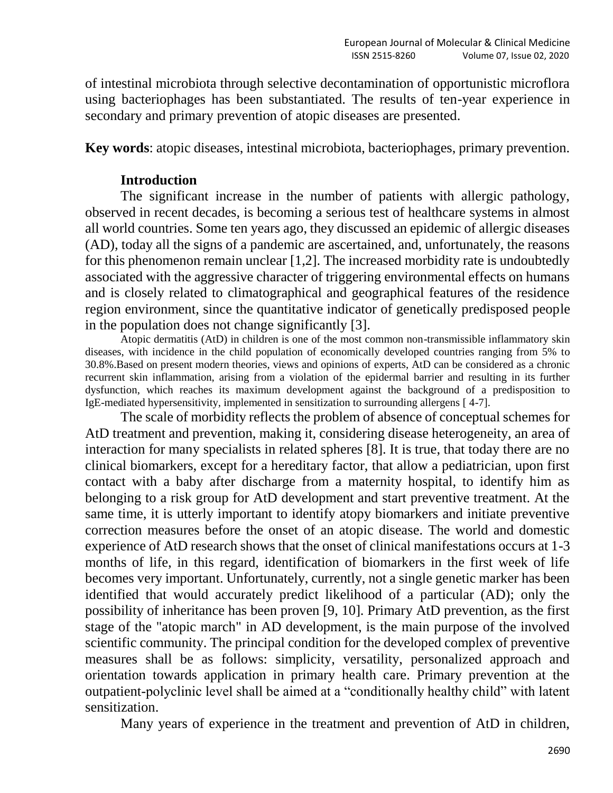of intestinal microbiota through selective decontamination of opportunistic microflora using bacteriophages has been substantiated. The results of ten-year experience in secondary and primary prevention of atopic diseases are presented.

**Key words**: atopic diseases, intestinal microbiota, bacteriophages, primary prevention.

### **Introduction**

The significant increase in the number of patients with allergic pathology, observed in recent decades, is becoming a serious test of healthcare systems in almost all world countries. Some ten years ago, they discussed an epidemic of allergic diseases (AD), today all the signs of a pandemic are ascertained, and, unfortunately, the reasons for this phenomenon remain unclear [1,2]. The increased morbidity rate is undoubtedly associated with the aggressive character of triggering environmental effects on humans and is closely related to climatographical and geographical features of the residence region environment, since the quantitative indicator of genetically predisposed people in the population does not change significantly [3].

Atopic dermatitis (AtD) in children is one of the most common non-transmissible inflammatory skin diseases, with incidence in the child population of economically developed countries ranging from 5% to 30.8%.Based on present modern theories, views and opinions of experts, AtD can be considered as a chronic recurrent skin inflammation, arising from a violation of the epidermal barrier and resulting in its further dysfunction, which reaches its maximum development against the background of a predisposition to IgE-mediated hypersensitivity, implemented in sensitization to surrounding allergens [ 4-7].

The scale of morbidity reflects the problem of absence of conceptual schemes for AtD treatment and prevention, making it, considering disease heterogeneity, an area of interaction for many specialists in related spheres [8]. It is true, that today there are no clinical biomarkers, except for a hereditary factor, that allow a pediatrician, upon first contact with a baby after discharge from a maternity hospital, to identify him as belonging to a risk group for AtD development and start preventive treatment. At the same time, it is utterly important to identify atopy biomarkers and initiate preventive correction measures before the onset of an atopic disease. The world and domestic experience of AtD research shows that the onset of clinical manifestations occurs at 1-3 months of life, in this regard, identification of biomarkers in the first week of life becomes very important. Unfortunately, currently, not a single genetic marker has been identified that would accurately predict likelihood of a particular (AD); only the possibility of inheritance has been proven [9, 10]. Primary AtD prevention, as the first stage of the "atopic march" in AD development, is the main purpose of the involved scientific community. The principal condition for the developed complex of preventive measures shall be as follows: simplicity, versatility, personalized approach and orientation towards application in primary health care. Primary prevention at the outpatient-polyclinic level shall be aimed at a "conditionally healthy child" with latent sensitization.

Many years of experience in the treatment and prevention of AtD in children,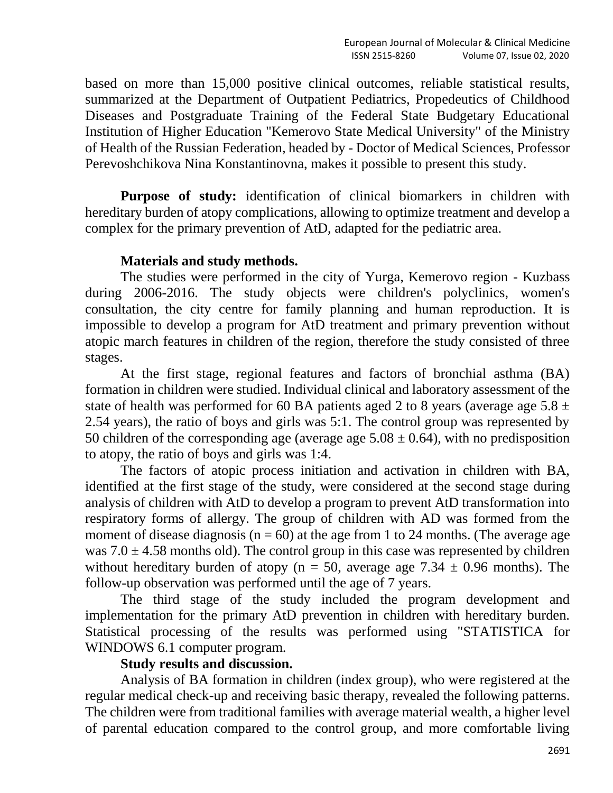based on more than 15,000 positive clinical outcomes, reliable statistical results, summarized at the Department of Outpatient Pediatrics, Propedeutics of Childhood Diseases and Postgraduate Training of the Federal State Budgetary Educational Institution of Higher Education "Kemerovo State Medical University" of the Ministry of Health of the Russian Federation, headed by - Doctor of Medical Sciences, Professor Perevoshchikova Nina Konstantinovna, makes it possible to present this study.

Purpose of study: identification of clinical biomarkers in children with hereditary burden of atopy complications, allowing to optimize treatment and develop a complex for the primary prevention of AtD, adapted for the pediatric area.

### **Materials and study methods.**

The studies were performed in the city of Yurga, Kemerovo region - Kuzbass during 2006-2016. The study objects were children's polyclinics, women's consultation, the city centre for family planning and human reproduction. It is impossible to develop a program for AtD treatment and primary prevention without atopic march features in children of the region, therefore the study consisted of three stages.

At the first stage, regional features and factors of bronchial asthma (BA) formation in children were studied. Individual clinical and laboratory assessment of the state of health was performed for 60 BA patients aged 2 to 8 years (average age  $5.8 \pm 1.5$ 2.54 years), the ratio of boys and girls was 5:1. The control group was represented by 50 children of the corresponding age (average age  $5.08 \pm 0.64$ ), with no predisposition to atopy, the ratio of boys and girls was 1:4.

The factors of atopic process initiation and activation in children with BA, identified at the first stage of the study, were considered at the second stage during analysis of children with AtD to develop a program to prevent AtD transformation into respiratory forms of allergy. The group of children with AD was formed from the moment of disease diagnosis ( $n = 60$ ) at the age from 1 to 24 months. (The average age was  $7.0 \pm 4.58$  months old). The control group in this case was represented by children without hereditary burden of atopy ( $n = 50$ , average age 7.34  $\pm$  0.96 months). The follow-up observation was performed until the age of 7 years.

The third stage of the study included the program development and implementation for the primary AtD prevention in children with hereditary burden. Statistical processing of the results was performed using "STATISTICA for WINDOWS 6.1 computer program.

# **Study results and discussion.**

Analysis of BA formation in children (index group), who were registered at the regular medical check-up and receiving basic therapy, revealed the following patterns. The children were from traditional families with average material wealth, a higher level of parental education compared to the control group, and more comfortable living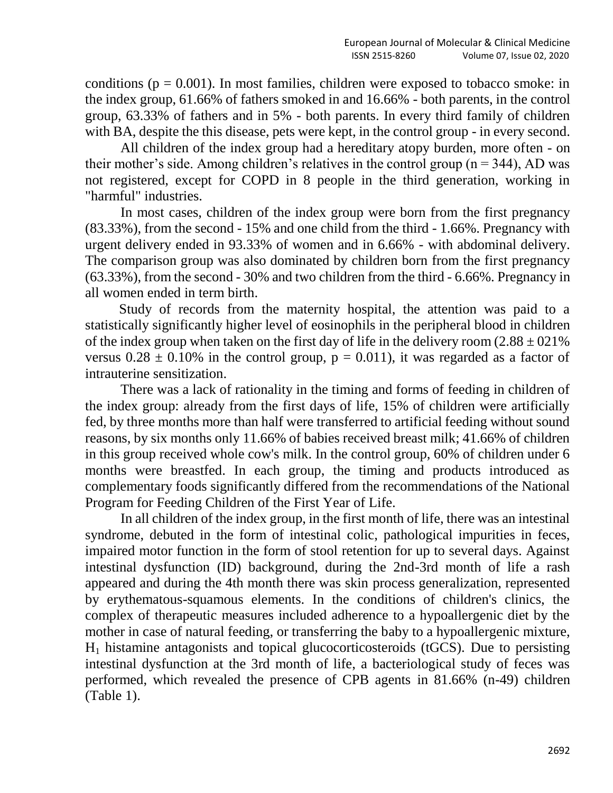conditions ( $p = 0.001$ ). In most families, children were exposed to tobacco smoke: in the index group, 61.66% of fathers smoked in and 16.66% - both parents, in the control group, 63.33% of fathers and in 5% - both parents. In every third family of children with BA, despite the this disease, pets were kept, in the control group - in every second.

All children of the index group had a hereditary atopy burden, more often - on their mother's side. Among children's relatives in the control group ( $n = 344$ ), AD was not registered, except for COPD in 8 people in the third generation, working in "harmful" industries.

In most cases, children of the index group were born from the first pregnancy (83.33%), from the second - 15% and one child from the third - 1.66%. Pregnancy with urgent delivery ended in 93.33% of women and in 6.66% - with abdominal delivery. The comparison group was also dominated by children born from the first pregnancy (63.33%), from the second - 30% and two children from the third - 6.66%. Pregnancy in all women ended in term birth.

Study of records from the maternity hospital, the attention was paid to a statistically significantly higher level of eosinophils in the peripheral blood in children of the index group when taken on the first day of life in the delivery room  $(2.88 \pm 0.21\%)$ versus  $0.28 \pm 0.10\%$  in the control group,  $p = 0.011$ ), it was regarded as a factor of intrauterine sensitization.

There was a lack of rationality in the timing and forms of feeding in children of the index group: already from the first days of life, 15% of children were artificially fed, by three months more than half were transferred to artificial feeding without sound reasons, by six months only 11.66% of babies received breast milk; 41.66% of children in this group received whole cow's milk. In the control group, 60% of children under 6 months were breastfed. In each group, the timing and products introduced as complementary foods significantly differed from the recommendations of the National Program for Feeding Children of the First Year of Life.

In all children of the index group, in the first month of life, there was an intestinal syndrome, debuted in the form of intestinal colic, pathological impurities in feces, impaired motor function in the form of stool retention for up to several days. Against intestinal dysfunction (ID) background, during the 2nd-3rd month of life a rash appeared and during the 4th month there was skin process generalization, represented by erythematous-squamous elements. In the conditions of children's clinics, the complex of therapeutic measures included adherence to a hypoallergenic diet by the mother in case of natural feeding, or transferring the baby to a hypoallergenic mixture,  $H<sub>1</sub>$  histamine antagonists and topical glucocorticosteroids (tGCS). Due to persisting intestinal dysfunction at the 3rd month of life, a bacteriological study of feces was performed, which revealed the presence of CPB agents in 81.66% (n-49) children (Table 1).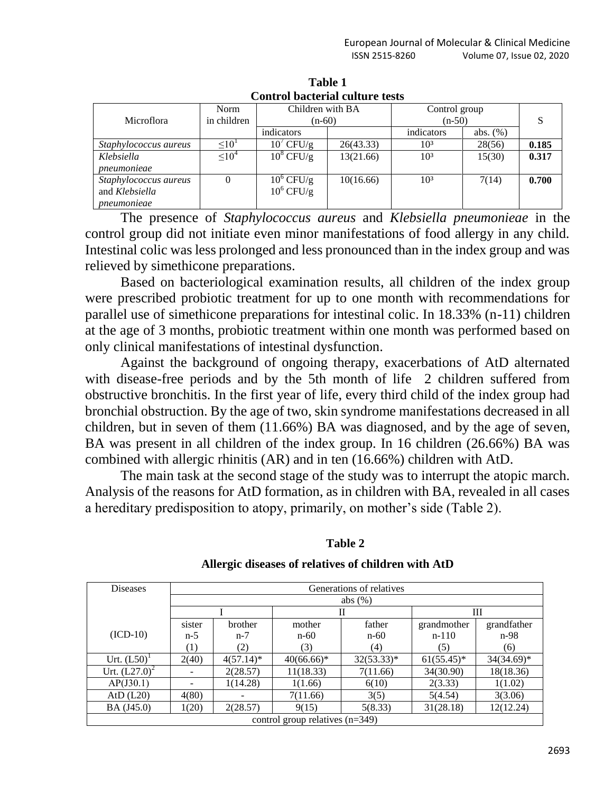| Control Dacterial Culture tests |               |                     |           |                 |             |       |  |  |
|---------------------------------|---------------|---------------------|-----------|-----------------|-------------|-------|--|--|
|                                 | Norm          | Children with BA    |           | Control group   |             |       |  |  |
| Microflora                      | in children   | $(n-60)$            |           | $(n-50)$        |             | S     |  |  |
|                                 |               | indicators          |           | indicators      | abs. $(\%)$ |       |  |  |
| Staphylococcus aureus           | $\leq 10^{1}$ | $10^{\prime}$ CFU/g | 26(43.33) | 103             | 28(56)      | 0.185 |  |  |
| Klebsiella                      | $\leq 10^4$   | $10^8$ CFU/g        | 13(21.66) | 10 <sup>3</sup> | 15(30)      | 0.317 |  |  |
| pneumonieae                     |               |                     |           |                 |             |       |  |  |
| Staphylococcus aureus           | 0             | $10^6$ CFU/g        | 10(16.66) | 10 <sup>3</sup> | 7(14)       | 0.700 |  |  |
| and Klebsiella                  |               | $10^6$ CFU/g        |           |                 |             |       |  |  |
| pneumonieae                     |               |                     |           |                 |             |       |  |  |

**Table 1 Control bacterial culture tests**

The presence of *Staphylococcus aureus* and *Klebsiella pneumonieae* in the control group did not initiate even minor manifestations of food allergy in any child. Intestinal colic was less prolonged and less pronounced than in the index group and was relieved by simethicone preparations.

Based on bacteriological examination results, all children of the index group were prescribed probiotic treatment for up to one month with recommendations for parallel use of simethicone preparations for intestinal colic. In 18.33% (n-11) children at the age of 3 months, probiotic treatment within one month was performed based on only clinical manifestations of intestinal dysfunction.

Against the background of ongoing therapy, exacerbations of AtD alternated with disease-free periods and by the 5th month of life 2 children suffered from obstructive bronchitis. In the first year of life, every third child of the index group had bronchial obstruction. By the age of two, skin syndrome manifestations decreased in all children, but in seven of them (11.66%) BA was diagnosed, and by the age of seven, BA was present in all children of the index group. In 16 children (26.66%) BA was combined with allergic rhinitis (AR) and in ten (16.66%) children with AtD.

The main task at the second stage of the study was to interrupt the atopic march. Analysis of the reasons for AtD formation, as in children with BA, revealed in all cases a hereditary predisposition to atopy, primarily, on mother's side (Table 2).

| 'able |  |
|-------|--|
|-------|--|

| <b>Diseases</b>                   | Generations of relatives |              |              |              |               |               |  |  |
|-----------------------------------|--------------------------|--------------|--------------|--------------|---------------|---------------|--|--|
|                                   | abs $(\%)$               |              |              |              |               |               |  |  |
|                                   |                          |              | Н            |              | Ш             |               |  |  |
|                                   | sister                   | brother      | mother       | father       | grandmother   | grandfather   |  |  |
| $(ICD-10)$                        | $n-5$                    | $n-7$        | $n-60$       | $n-60$       | $n-110$       | n-98          |  |  |
|                                   | (1)                      | (2)          | (3)          | (4)          | (5)           | (6)           |  |  |
| Urt. $(L50)^1$                    | 2(40)                    | $4(57.14)^*$ | $40(66.66)*$ | $32(53.33)*$ | $61(55.45)^*$ | $34(34.69)^*$ |  |  |
| Urt. $(L27.0)^2$                  |                          | 2(28.57)     | 11(18.33)    | 7(11.66)     | 34(30.90)     | 18(18.36)     |  |  |
| AP(J30.1)                         |                          | 1(14.28)     | 1(1.66)      | 6(10)        | 2(3.33)       | 1(1.02)       |  |  |
| AtD $(L20)$                       | 4(80)                    |              | 7(11.66)     | 3(5)         | 5(4.54)       | 3(3.06)       |  |  |
| BA (J45.0)                        | 1(20)                    | 2(28.57)     | 9(15)        | 5(8.33)      | 31(28.18)     | 12(12.24)     |  |  |
| control group relatives $(n=349)$ |                          |              |              |              |               |               |  |  |

#### **Allergic diseases of relatives of children with AtD**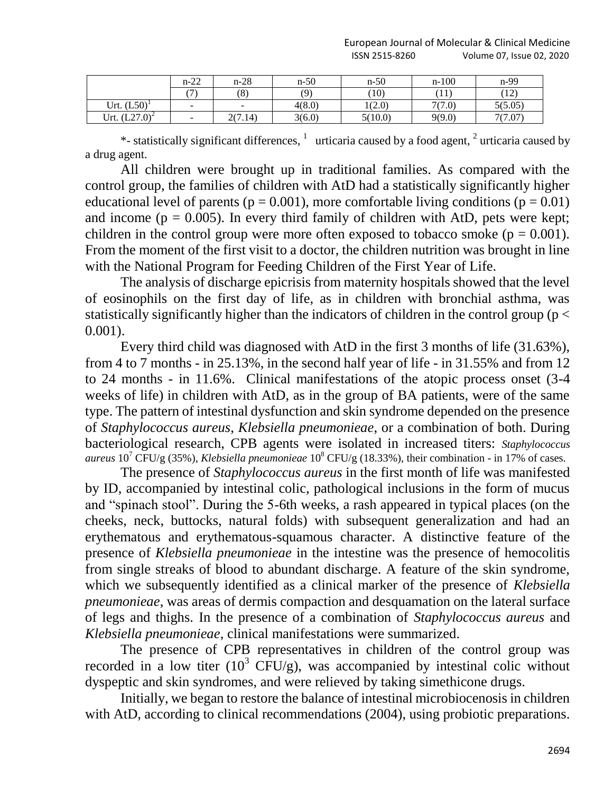|                       | $n-22$     | $n-28$             | $n-50$ | $n-50$  | $n-100$ | n-99         |
|-----------------------|------------|--------------------|--------|---------|---------|--------------|
|                       | $\sqrt{2}$ | $\circ$<br>$\circ$ | (9)    | (10)    | (11     | (12)<br>14.1 |
| $(L50)^1$<br>Urt.     | $\sim$     | <b>COL</b>         | 4(8.0) | 1(2.0)  | 7(7.0)  | 5(5.05)      |
| . $(L27.0)^2$<br>Urt. | $\sim$     | 2(7.14)<br>ZU 1    | 3(6.0) | 5(10.0) | 9(9.0)  | 7(7.07)      |

\*- statistically significant differences,  $\frac{1}{1}$  urticaria caused by a food agent,  $\frac{2}{1}$  urticaria caused by a drug agent.

All children were brought up in traditional families. As compared with the control group, the families of children with AtD had a statistically significantly higher educational level of parents ( $p = 0.001$ ), more comfortable living conditions ( $p = 0.01$ ) and income ( $p = 0.005$ ). In every third family of children with AtD, pets were kept; children in the control group were more often exposed to tobacco smoke ( $p = 0.001$ ). From the moment of the first visit to a doctor, the children nutrition was brought in line with the National Program for Feeding Children of the First Year of Life.

The analysis of discharge epicrisis from maternity hospitals showed that the level of eosinophils on the first day of life, as in children with bronchial asthma, was statistically significantly higher than the indicators of children in the control group ( $p <$ 0.001).

Every third child was diagnosed with AtD in the first 3 months of life (31.63%), from 4 to 7 months - in 25.13%, in the second half year of life - in 31.55% and from 12 to 24 months - in 11.6%. Clinical manifestations of the atopic process onset (3-4 weeks of life) in children with AtD, as in the group of BA patients, were of the same type. The pattern of intestinal dysfunction and skin syndrome depended on the presence of *Staphylococcus aureus*, *Klebsiella pneumonieae*, or a combination of both. During bacteriological research, CPB agents were isolated in increased titers: *Staphylococcus aureus* 10<sup>7</sup> CFU/g (35%), *Klebsiella pneumonieae* 10<sup>8</sup> CFU/g (18.33%), their combination - in 17% of cases.

The presence of *Staphylococcus aureus* in the first month of life was manifested by ID, accompanied by intestinal colic, pathological inclusions in the form of mucus and "spinach stool". During the 5-6th weeks, a rash appeared in typical places (on the cheeks, neck, buttocks, natural folds) with subsequent generalization and had an erythematous and erythematous-squamous character. A distinctive feature of the presence of *Klebsiella pneumonieae* in the intestine was the presence of hemocolitis from single streaks of blood to abundant discharge. A feature of the skin syndrome, which we subsequently identified as a clinical marker of the presence of *Klebsiella pneumonieae*, was areas of dermis compaction and desquamation on the lateral surface of legs and thighs. In the presence of a combination of *Staphylococcus aureus* and *Klebsiella pneumonieae*, clinical manifestations were summarized.

The presence of CPB representatives in children of the control group was recorded in a low titer  $(10^3 \text{ CFU/g})$ , was accompanied by intestinal colic without dyspeptic and skin syndromes, and were relieved by taking simethicone drugs.

Initially, we began to restore the balance of intestinal microbiocenosis in children with AtD, according to clinical recommendations (2004), using probiotic preparations.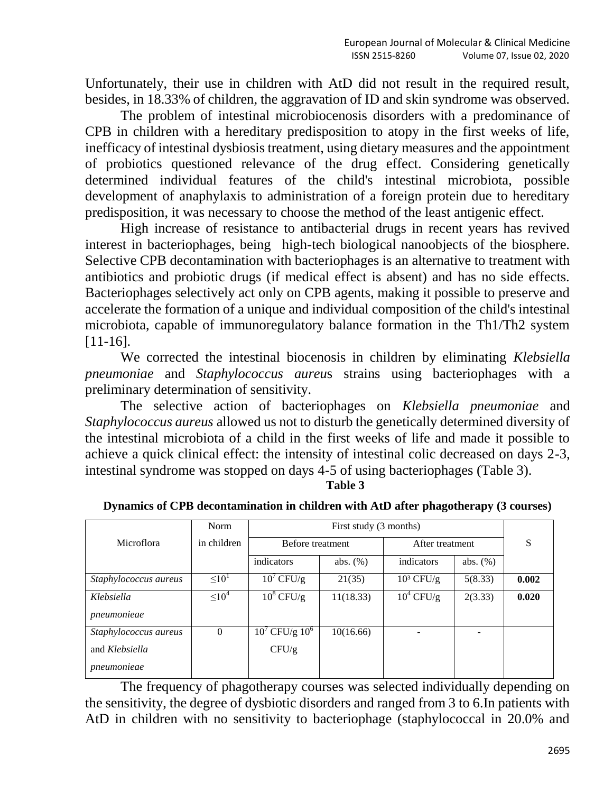Unfortunately, their use in children with AtD did not result in the required result, besides, in 18.33% of children, the aggravation of ID and skin syndrome was observed.

The problem of intestinal microbiocenosis disorders with a predominance of CPB in children with a hereditary predisposition to atopy in the first weeks of life, inefficacy of intestinal dysbiosis treatment, using dietary measures and the appointment of probiotics questioned relevance of the drug effect. Considering genetically determined individual features of the child's intestinal microbiota, possible development of anaphylaxis to administration of a foreign protein due to hereditary predisposition, it was necessary to choose the method of the least antigenic effect.

High increase of resistance to antibacterial drugs in recent years has revived interest in bacteriophages, being high-tech biological nanoobjects of the biosphere. Selective CPB decontamination with bacteriophages is an alternative to treatment with antibiotics and probiotic drugs (if medical effect is absent) and has no side effects. Bacteriophages selectively act only on CPB agents, making it possible to preserve and accelerate the formation of a unique and individual composition of the child's intestinal microbiota, capable of immunoregulatory balance formation in the Th1/Th2 system [11-16].

We corrected the intestinal biocenosis in children by eliminating *Klebsiella pneumoniae* and *Staphylococcus aureu*s strains using bacteriophages with a preliminary determination of sensitivity.

The selective action of bacteriophages on *Klebsiella pneumoniae* and *Staphylococcus aureus* allowed us not to disturb the genetically determined diversity of the intestinal microbiota of a child in the first weeks of life and made it possible to achieve a quick clinical effect: the intensity of intestinal colic decreased on days 2-3, intestinal syndrome was stopped on days 4-5 of using bacteriophages (Table 3).

#### **Table 3**

| Dynamics of CPB decontamination in children with AtD after phagotherapy (3 courses) |  |  |
|-------------------------------------------------------------------------------------|--|--|
|-------------------------------------------------------------------------------------|--|--|

|                       | Norm          |                     |             |                 |             |       |
|-----------------------|---------------|---------------------|-------------|-----------------|-------------|-------|
| Microflora            | in children   | Before treatment    |             | After treatment |             | S     |
|                       |               | indicators          | abs. $(\%)$ | indicators      | abs. $(\%)$ |       |
| Staphylococcus aureus | $\leq 10^{1}$ | $10^7$ CFU/g        | 21(35)      | $10^3$ CFU/g    | 5(8.33)     | 0.002 |
| Klebsiella            | $\leq 10^4$   | $10^8$ CFU/g        | 11(18.33)   | $10^4$ CFU/g    | 2(3.33)     | 0.020 |
| pneumonieae           |               |                     |             |                 |             |       |
| Staphylococcus aureus | $\Omega$      | $10^7$ CFU/g $10^6$ | 10(16.66)   |                 |             |       |
| and Klebsiella        |               | CFU/g               |             |                 |             |       |
| pneumonieae           |               |                     |             |                 |             |       |

The frequency of phagotherapy courses was selected individually depending on the sensitivity, the degree of dysbiotic disorders and ranged from 3 to 6.In patients with AtD in children with no sensitivity to bacteriophage (staphylococcal in 20.0% and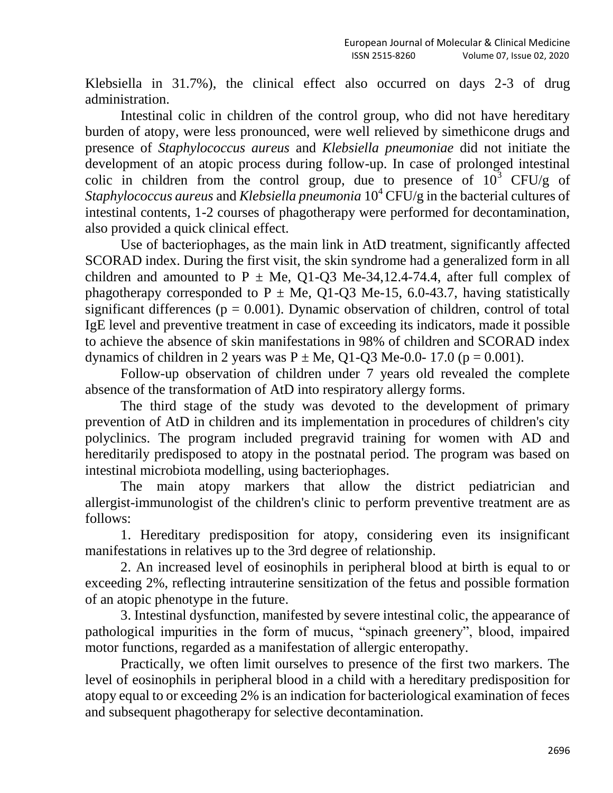Klebsiella in 31.7%), the clinical effect also occurred on days 2-3 of drug administration.

Intestinal colic in children of the control group, who did not have hereditary burden of atopy, were less pronounced, were well relieved by simethicone drugs and presence of *Staphylococcus aureus* and *Klebsiella pneumoniae* did not initiate the development of an atopic process during follow-up. In case of prolonged intestinal colic in children from the control group, due to presence of  $10^3$  CFU/g of *Staphylococcus aureus* and *Klebsiella pneumonia* 10<sup>4</sup> CFU/g in the bacterial cultures of intestinal contents, 1-2 courses of phagotherapy were performed for decontamination, also provided a quick clinical effect.

Use of bacteriophages, as the main link in AtD treatment, significantly affected SCORAD index. During the first visit, the skin syndrome had a generalized form in all children and amounted to P  $\pm$  Me, Q1-Q3 Me-34,12.4-74.4, after full complex of phagotherapy corresponded to P  $\pm$  Me, Q1-Q3 Me-15, 6.0-43.7, having statistically significant differences ( $p = 0.001$ ). Dynamic observation of children, control of total IgE level and preventive treatment in case of exceeding its indicators, made it possible to achieve the absence of skin manifestations in 98% of children and SCORAD index dynamics of children in 2 years was  $P \pm Me$ , Q1-Q3 Me-0.0- 17.0 (p = 0.001).

Follow-up observation of children under 7 years old revealed the complete absence of the transformation of AtD into respiratory allergy forms.

The third stage of the study was devoted to the development of primary prevention of AtD in children and its implementation in procedures of children's city polyclinics. The program included pregravid training for women with AD and hereditarily predisposed to atopy in the postnatal period. The program was based on intestinal microbiota modelling, using bacteriophages.

The main atopy markers that allow the district pediatrician and allergist-immunologist of the children's clinic to perform preventive treatment are as follows:

1. Hereditary predisposition for atopy, considering even its insignificant manifestations in relatives up to the 3rd degree of relationship.

2. An increased level of eosinophils in peripheral blood at birth is equal to or exceeding 2%, reflecting intrauterine sensitization of the fetus and possible formation of an atopic phenotype in the future.

3. Intestinal dysfunction, manifested by severe intestinal colic, the appearance of pathological impurities in the form of mucus, "spinach greenery", blood, impaired motor functions, regarded as a manifestation of allergic enteropathy.

Practically, we often limit ourselves to presence of the first two markers. The level of eosinophils in peripheral blood in a child with a hereditary predisposition for atopy equal to or exceeding 2% is an indication for bacteriological examination of feces and subsequent phagotherapy for selective decontamination.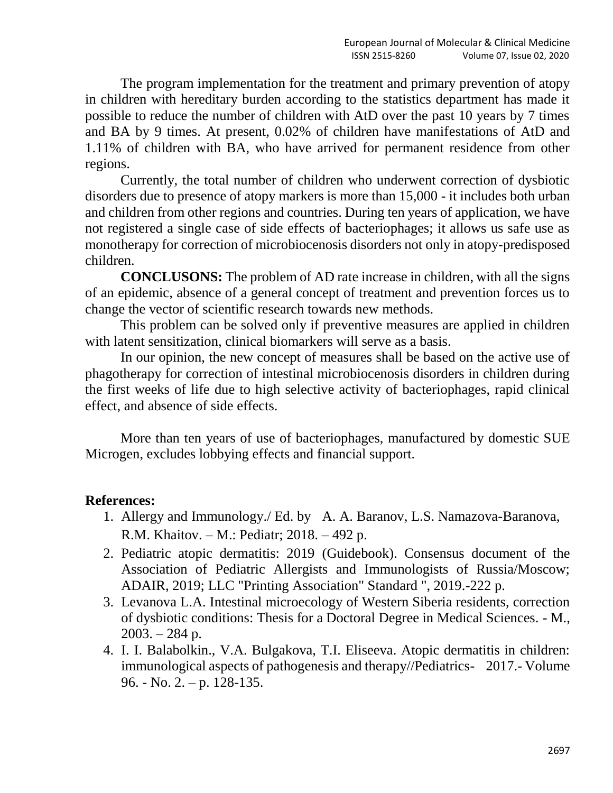The program implementation for the treatment and primary prevention of atopy in children with hereditary burden according to the statistics department has made it possible to reduce the number of children with AtD over the past 10 years by 7 times and BA by 9 times. At present, 0.02% of children have manifestations of AtD and 1.11% of children with BA, who have arrived for permanent residence from other regions.

Currently, the total number of children who underwent correction of dysbiotic disorders due to presence of atopy markers is more than 15,000 - it includes both urban and children from other regions and countries. During ten years of application, we have not registered a single case of side effects of bacteriophages; it allows us safe use as monotherapy for correction of microbiocenosis disorders not only in atopy-predisposed children.

**CONCLUSONS:** The problem of AD rate increase in children, with all the signs of an epidemic, absence of a general concept of treatment and prevention forces us to change the vector of scientific research towards new methods.

This problem can be solved only if preventive measures are applied in children with latent sensitization, clinical biomarkers will serve as a basis.

In our opinion, the new concept of measures shall be based on the active use of phagotherapy for correction of intestinal microbiocenosis disorders in children during the first weeks of life due to high selective activity of bacteriophages, rapid clinical effect, and absence of side effects.

More than ten years of use of bacteriophages, manufactured by domestic SUE Microgen, excludes lobbying effects and financial support.

# **References:**

- 1. Allergy and Immunology./ Ed. by A. A. Baranov, L.S. Namazova-Baranova, R.M. Khaitov. – M.: Pediatr; 2018. – 492 p.
- 2. Pediatric atopic dermatitis: 2019 (Guidebook). Consensus document of the Association of Pediatric Allergists and Immunologists of Russia/Moscow; ADAIR, 2019; LLC "Printing Association" Standard ", 2019.-222 p.
- 3. Levanova L.A. Intestinal microecology of Western Siberia residents, correction of dysbiotic conditions: Thesis for a Doctoral Degree in Medical Sciences. - M.,  $2003. - 284$  p.
- 4. I. I. Balabolkin., V.A. Bulgakova, T.I. Eliseeva. Atopic dermatitis in children: immunological aspects of pathogenesis and therapy//Pediatrics- 2017.- Volume 96. - No. 2. – p. 128-135.